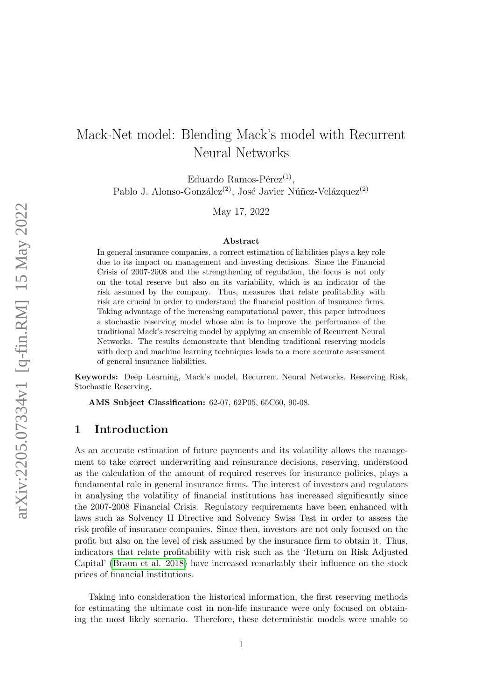# Mack-Net model: Blending Mack's model with Recurrent Neural Networks

Eduardo Ramos-Pérez<sup>(1)</sup>, Pablo J. Alonso-González<sup>(2)</sup>, José Javier Núñez-Velázquez<sup>(2)</sup>

May 17, 2022

#### Abstract

In general insurance companies, a correct estimation of liabilities plays a key role due to its impact on management and investing decisions. Since the Financial Crisis of 2007-2008 and the strengthening of regulation, the focus is not only on the total reserve but also on its variability, which is an indicator of the risk assumed by the company. Thus, measures that relate profitability with risk are crucial in order to understand the financial position of insurance firms. Taking advantage of the increasing computational power, this paper introduces a stochastic reserving model whose aim is to improve the performance of the traditional Mack's reserving model by applying an ensemble of Recurrent Neural Networks. The results demonstrate that blending traditional reserving models with deep and machine learning techniques leads to a more accurate assessment of general insurance liabilities.

Keywords: Deep Learning, Mack's model, Recurrent Neural Networks, Reserving Risk, Stochastic Reserving.

AMS Subject Classification: 62-07, 62P05, 65C60, 90-08.

## 1 Introduction

As an accurate estimation of future payments and its volatility allows the management to take correct underwriting and reinsurance decisions, reserving, understood as the calculation of the amount of required reserves for insurance policies, plays a fundamental role in general insurance firms. The interest of investors and regulators in analysing the volatility of financial institutions has increased significantly since the 2007-2008 Financial Crisis. Regulatory requirements have been enhanced with laws such as Solvency II Directive and Solvency Swiss Test in order to assess the risk profile of insurance companies. Since then, investors are not only focused on the profit but also on the level of risk assumed by the insurance firm to obtain it. Thus, indicators that relate profitability with risk such as the 'Return on Risk Adjusted Capital' [\(Braun et al. 2018\)](#page-20-0) have increased remarkably their influence on the stock prices of financial institutions.

Taking into consideration the historical information, the first reserving methods for estimating the ultimate cost in non-life insurance were only focused on obtaining the most likely scenario. Therefore, these deterministic models were unable to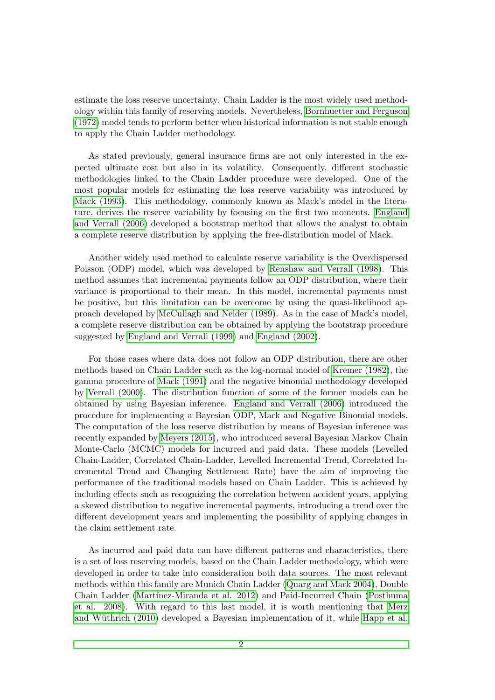estimate the loss reserve uncertainty. Chain Ladder is the most widely used methodology within this family of reserving models. Nevertheless, [Bornhuetter and Ferguson](#page-20-1) [\(1972\)](#page-20-1) model tends to perform better when historical information is not stable enough to apply the Chain Ladder methodology.

As stated previously, general insurance firms are not only interested in the expected ultimate cost but also in its volatility. Consequently, different stochastic methodologies linked to the Chain Ladder procedure were developed. One of the most popular models for estimating the loss reserve variability was introduced by [Mack \(1993\)](#page-22-0). This methodology, commonly known as Mack's model in the literature, derives the reserve variability by focusing on the first two moments. [England](#page-21-0) [and Verrall \(2006\)](#page-21-0) developed a bootstrap method that allows the analyst to obtain a complete reserve distribution by applying the free-distribution model of Mack.

Another widely used method to calculate reserve variability is the Overdispersed Poisson (ODP) model, which was developed by [Renshaw and Verrall \(1998\)](#page-23-0). This method assumes that incremental payments follow an ODP distribution, where their variance is proportional to their mean. In this model, incremental payments must be positive, but this limitation can be overcome by using the quasi-likelihood approach developed by [McCullagh and Nelder \(1989\)](#page-22-1). As in the case of Mack's model, a complete reserve distribution can be obtained by applying the bootstrap procedure suggested by [England and Verrall \(1999\)](#page-21-1) and [England \(2002\)](#page-21-2).

For those cases where data does not follow an ODP distribution, there are other methods based on Chain Ladder such as the log-normal model of [Kremer \(1982\)](#page-22-2), the gamma procedure of [Mack \(1991\)](#page-22-3) and the negative binomial methodology developed by [Verrall \(2000\)](#page-23-1). The distribution function of some of the former models can be obtained by using Bayesian inference. [England and Verrall \(2006\)](#page-21-0) introduced the procedure for implementing a Bayesian ODP, Mack and Negative Binomial models. The computation of the loss reserve distribution by means of Bayesian inference was recently expanded by [Meyers \(2015\)](#page-22-4), who introduced several Bayesian Markov Chain Monte-Carlo (MCMC) models for incurred and paid data. These models (Levelled Chain-Ladder, Correlated Chain-Ladder, Levelled Incremental Trend, Correlated Incremental Trend and Changing Settlement Rate) have the aim of improving the performance of the traditional models based on Chain Ladder. This is achieved by including effects such as recognizing the correlation between accident years, applying a skewed distribution to negative incremental payments, introducing a trend over the different development years and implementing the possibility of applying changes in the claim settlement rate.

As incurred and paid data can have different patterns and characteristics, there is a set of loss reserving models, based on the Chain Ladder methodology, which were developed in order to take into consideration both data sources. The most relevant methods within this family are Munich Chain Ladder [\(Quarg and Mack 2004\)](#page-22-5), Double Chain Ladder (Martínez-Miranda et al. 2012) and Paid-Incurred Chain [\(Posthuma](#page-22-7) [et al. 2008\)](#page-22-7). With regard to this last model, it is worth mentioning that [Merz](#page-22-8) and Wüthrich (2010) developed a Bayesian implementation of it, while [Happ et al.](#page-21-3)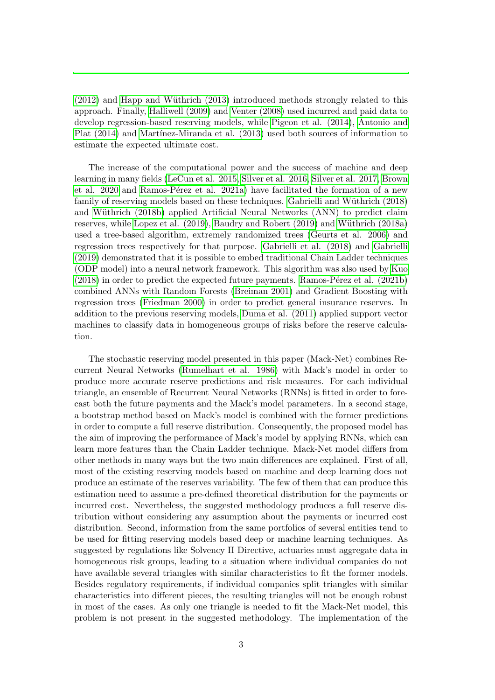$(2012)$  and Happ and Wüthrich  $(2013)$  introduced methods strongly related to this approach. Finally, [Halliwell \(2009\)](#page-21-5) and [Venter \(2008\)](#page-23-2) used incurred and paid data to develop regression-based reserving models, while [Pigeon et al. \(2014\)](#page-22-9), [Antonio and](#page-20-2) [Plat \(2014\)](#page-20-2) and Martínez-Miranda et al. (2013) used both sources of information to estimate the expected ultimate cost.

The increase of the computational power and the success of machine and deep learning in many fields [\(LeCun et al. 2015,](#page-22-11) [Silver et al. 2016,](#page-23-3) [Silver et al. 2017,](#page-23-4) [Brown](#page-20-3) [et al. 2020](#page-20-3) and Ramos-Pérez et al. 2021a) have facilitated the formation of a new family of reserving models based on these techniques. Gabrielli and Wüthrich (2018) and Wüthrich (2018b) applied Artificial Neural Networks (ANN) to predict claim reserves, while [Lopez et al. \(2019\)](#page-22-13), [Baudry and Robert \(2019\)](#page-20-4) and Wüthrich (2018a) used a tree-based algorithm, extremely randomized trees [\(Geurts et al. 2006\)](#page-21-7) and regression trees respectively for that purpose. [Gabrielli et al. \(2018\)](#page-21-8) and [Gabrielli](#page-21-9) [\(2019\)](#page-21-9) demonstrated that it is possible to embed traditional Chain Ladder techniques (ODP model) into a neural network framework. This algorithm was also used by [Kuo](#page-22-14)  $(2018)$  in order to predict the expected future payments. Ramos-P $\acute{e}$ rez et al.  $(2021b)$ combined ANNs with Random Forests [\(Breiman 2001\)](#page-20-5) and Gradient Boosting with regression trees [\(Friedman 2000\)](#page-21-10) in order to predict general insurance reserves. In addition to the previous reserving models, [Duma et al. \(2011\)](#page-21-11) applied support vector machines to classify data in homogeneous groups of risks before the reserve calculation.

The stochastic reserving model presented in this paper (Mack-Net) combines Recurrent Neural Networks [\(Rumelhart et al. 1986\)](#page-23-7) with Mack's model in order to produce more accurate reserve predictions and risk measures. For each individual triangle, an ensemble of Recurrent Neural Networks (RNNs) is fitted in order to forecast both the future payments and the Mack's model parameters. In a second stage, a bootstrap method based on Mack's model is combined with the former predictions in order to compute a full reserve distribution. Consequently, the proposed model has the aim of improving the performance of Mack's model by applying RNNs, which can learn more features than the Chain Ladder technique. Mack-Net model differs from other methods in many ways but the two main differences are explained. First of all, most of the existing reserving models based on machine and deep learning does not produce an estimate of the reserves variability. The few of them that can produce this estimation need to assume a pre-defined theoretical distribution for the payments or incurred cost. Nevertheless, the suggested methodology produces a full reserve distribution without considering any assumption about the payments or incurred cost distribution. Second, information from the same portfolios of several entities tend to be used for fitting reserving models based deep or machine learning techniques. As suggested by regulations like Solvency II Directive, actuaries must aggregate data in homogeneous risk groups, leading to a situation where individual companies do not have available several triangles with similar characteristics to fit the former models. Besides regulatory requirements, if individual companies split triangles with similar characteristics into different pieces, the resulting triangles will not be enough robust in most of the cases. As only one triangle is needed to fit the Mack-Net model, this problem is not present in the suggested methodology. The implementation of the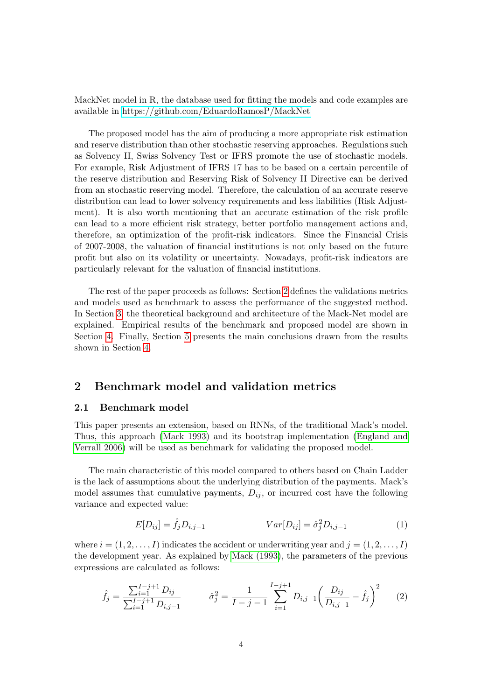MackNet model in R, the database used for fitting the models and code examples are available in<https://github.com/EduardoRamosP/MackNet>

The proposed model has the aim of producing a more appropriate risk estimation and reserve distribution than other stochastic reserving approaches. Regulations such as Solvency II, Swiss Solvency Test or IFRS promote the use of stochastic models. For example, Risk Adjustment of IFRS 17 has to be based on a certain percentile of the reserve distribution and Reserving Risk of Solvency II Directive can be derived from an stochastic reserving model. Therefore, the calculation of an accurate reserve distribution can lead to lower solvency requirements and less liabilities (Risk Adjustment). It is also worth mentioning that an accurate estimation of the risk profile can lead to a more efficient risk strategy, better portfolio management actions and, therefore, an optimization of the profit-risk indicators. Since the Financial Crisis of 2007-2008, the valuation of financial institutions is not only based on the future profit but also on its volatility or uncertainty. Nowadays, profit-risk indicators are particularly relevant for the valuation of financial institutions.

The rest of the paper proceeds as follows: Section [2](#page-3-0) defines the validations metrics and models used as benchmark to assess the performance of the suggested method. In Section [3,](#page-5-0) the theoretical background and architecture of the Mack-Net model are explained. Empirical results of the benchmark and proposed model are shown in Section [4.](#page-12-0) Finally, Section [5](#page-19-0) presents the main conclusions drawn from the results shown in Section [4.](#page-12-0)

## <span id="page-3-0"></span>2 Benchmark model and validation metrics

#### <span id="page-3-1"></span>2.1 Benchmark model

This paper presents an extension, based on RNNs, of the traditional Mack's model. Thus, this approach [\(Mack 1993\)](#page-22-0) and its bootstrap implementation [\(England and](#page-21-0) [Verrall 2006\)](#page-21-0) will be used as benchmark for validating the proposed model.

The main characteristic of this model compared to others based on Chain Ladder is the lack of assumptions about the underlying distribution of the payments. Mack's model assumes that cumulative payments,  $D_{ij}$ , or incurred cost have the following variance and expected value:

$$
E[D_{ij}] = \hat{f}_j D_{i,j-1} \qquad Var[D_{ij}] = \hat{\sigma}_j^2 D_{i,j-1} \qquad (1)
$$

where  $i = (1, 2, \ldots, I)$  indicates the accident or underwriting year and  $j = (1, 2, \ldots, I)$ the development year. As explained by [Mack \(1993\)](#page-22-0), the parameters of the previous expressions are calculated as follows:

$$
\hat{f}_j = \frac{\sum_{i=1}^{I-j+1} D_{ij}}{\sum_{i=1}^{I-j+1} D_{i,j-1}} \qquad \hat{\sigma}_j^2 = \frac{1}{I-j-1} \sum_{i=1}^{I-j+1} D_{i,j-1} \left(\frac{D_{ij}}{D_{i,j-1}} - \hat{f}_j\right)^2 \qquad (2)
$$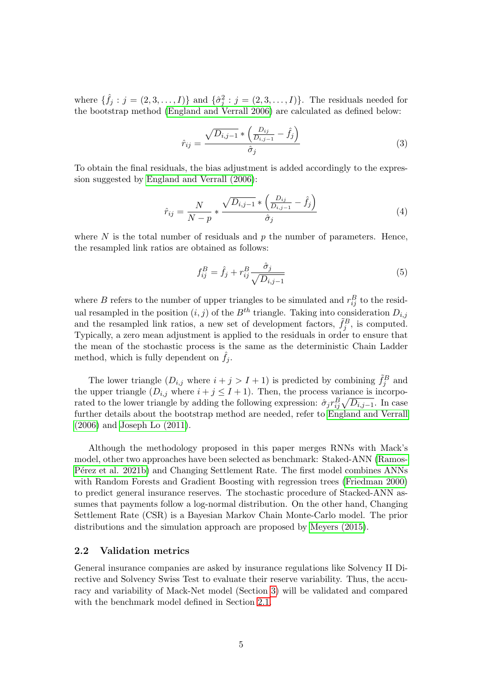where  $\{\hat{f}_j : j = (2, 3, \ldots, I)\}\$ and  $\{\hat{\sigma}_j^2 : j = (2, 3, \ldots, I)\}\$ . The residuals needed for the bootstrap method [\(England and Verrall 2006\)](#page-21-0) are calculated as defined below:

$$
\hat{r}_{ij} = \frac{\sqrt{D_{i,j-1}} \ast \left(\frac{D_{ij}}{D_{i,j-1}} - \hat{f}_j\right)}{\hat{\sigma}_j} \tag{3}
$$

To obtain the final residuals, the bias adjustment is added accordingly to the expression suggested by [England and Verrall \(2006\)](#page-21-0):

$$
\hat{r}_{ij} = \frac{N}{N - p} * \frac{\sqrt{D_{i,j-1}} * \left(\frac{D_{ij}}{D_{i,j-1}} - \hat{f}_j\right)}{\hat{\sigma}_j}
$$
(4)

where  $N$  is the total number of residuals and  $p$  the number of parameters. Hence, the resampled link ratios are obtained as follows:

$$
f_{ij}^B = \hat{f}_j + r_{ij}^B \frac{\hat{\sigma}_j}{\sqrt{D_{i,j-1}}} \tag{5}
$$

where B refers to the number of upper triangles to be simulated and  $r_{ij}^B$  to the residual resampled in the position  $(i, j)$  of the  $B<sup>th</sup>$  triangle. Taking into consideration  $D_{i,j}$ and the resampled link ratios, a new set of development factors,  $\tilde{f}_j^B$ , is computed. Typically, a zero mean adjustment is applied to the residuals in order to ensure that the mean of the stochastic process is the same as the deterministic Chain Ladder method, which is fully dependent on  $f_j$ .

The lower triangle  $(D_{i,j}$  where  $i + j > I + 1$ ) is predicted by combining  $\tilde{f}_j^B$  and the upper triangle  $(D_{i,j}$  where  $i + j \leq I + 1$ ). Then, the process variance is incorporated to the lower triangle by adding the following expression:  $\hat{\sigma}_j r_{ij}^B \sqrt{D_{i,j-1}}$ . In case further details about the bootstrap method are needed, refer to [England and Verrall](#page-21-0) [\(2006\)](#page-21-0) and [Joseph Lo \(2011\)](#page-21-12).

Although the methodology proposed in this paper merges RNNs with Mack's model, other two approaches have been selected as benchmark: Staked-ANN [\(Ramos-](#page-22-15)P<sub>e</sub> et al. 2021b) and Changing Settlement Rate. The first model combines ANNs with Random Forests and Gradient Boosting with regression trees [\(Friedman 2000\)](#page-21-10) to predict general insurance reserves. The stochastic procedure of Stacked-ANN assumes that payments follow a log-normal distribution. On the other hand, Changing Settlement Rate (CSR) is a Bayesian Markov Chain Monte-Carlo model. The prior distributions and the simulation approach are proposed by [Meyers \(2015\)](#page-22-4).

#### <span id="page-4-0"></span>2.2 Validation metrics

General insurance companies are asked by insurance regulations like Solvency II Directive and Solvency Swiss Test to evaluate their reserve variability. Thus, the accuracy and variability of Mack-Net model (Section [3\)](#page-5-0) will be validated and compared with the benchmark model defined in Section [2.1.](#page-3-1)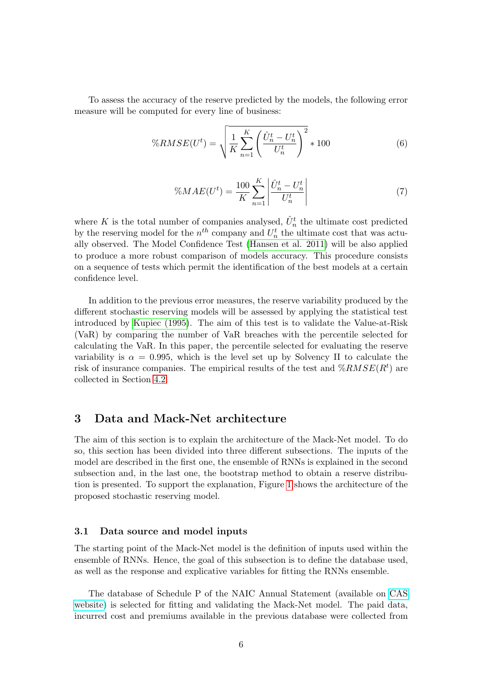To assess the accuracy of the reserve predicted by the models, the following error measure will be computed for every line of business:

$$
\%RMSE(U^t) = \sqrt{\frac{1}{K} \sum_{n=1}^{K} \left( \frac{\hat{U}_n^t - U_n^t}{U_n^t} \right)^2} * 100
$$
 (6)

$$
\%MAE(U^{t}) = \frac{100}{K} \sum_{n=1}^{K} \left| \frac{\hat{U}_{n}^{t} - U_{n}^{t}}{U_{n}^{t}} \right|
$$
\n(7)

where K is the total number of companies analysed,  $\hat{U}_n^t$  the ultimate cost predicted by the reserving model for the  $n^{th}$  company and  $U_n^t$  the ultimate cost that was actually observed. The Model Confidence Test [\(Hansen et al. 2011\)](#page-21-13) will be also applied to produce a more robust comparison of models accuracy. This procedure consists on a sequence of tests which permit the identification of the best models at a certain confidence level.

In addition to the previous error measures, the reserve variability produced by the different stochastic reserving models will be assessed by applying the statistical test introduced by [Kupiec \(1995\)](#page-22-16). The aim of this test is to validate the Value-at-Risk (VaR) by comparing the number of VaR breaches with the percentile selected for calculating the VaR. In this paper, the percentile selected for evaluating the reserve variability is  $\alpha = 0.995$ , which is the level set up by Solvency II to calculate the risk of insurance companies. The empirical results of the test and  $\%RMSE(R^t)$  are collected in Section [4.2.](#page-15-0)

## <span id="page-5-0"></span>3 Data and Mack-Net architecture

The aim of this section is to explain the architecture of the Mack-Net model. To do so, this section has been divided into three different subsections. The inputs of the model are described in the first one, the ensemble of RNNs is explained in the second subsection and, in the last one, the bootstrap method to obtain a reserve distribution is presented. To support the explanation, Figure [1](#page-6-0) shows the architecture of the proposed stochastic reserving model.

#### <span id="page-5-1"></span>3.1 Data source and model inputs

The starting point of the Mack-Net model is the definition of inputs used within the ensemble of RNNs. Hence, the goal of this subsection is to define the database used, as well as the response and explicative variables for fitting the RNNs ensemble.

The database of Schedule P of the NAIC Annual Statement (available on [CAS](https://www.casact.org/research/index.cfm?fa=loss_reserves_data) [website\)](https://www.casact.org/research/index.cfm?fa=loss_reserves_data) is selected for fitting and validating the Mack-Net model. The paid data, incurred cost and premiums available in the previous database were collected from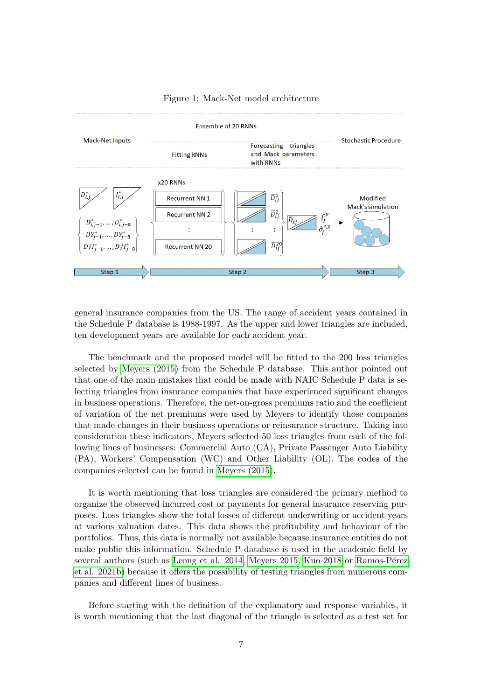<span id="page-6-0"></span>

#### Figure 1: Mack-Net model architecture

general insurance companies from the US. The range of accident years contained in the Schedule P database is 1988-1997. As the upper and lower triangles are included, ten development years are available for each accident year.

The benchmark and the proposed model will be fitted to the 200 loss triangles selected by [Meyers \(2015\)](#page-22-4) from the Schedule P database. This author pointed out that one of the main mistakes that could be made with NAIC Schedule P data is selecting triangles from insurance companies that have experienced significant changes in business operations. Therefore, the net-on-gross premiums ratio and the coefficient of variation of the net premiums were used by Meyers to identify those companies that made changes in their business operations or reinsurance structure. Taking into consideration these indicators, Meyers selected 50 loss triangles from each of the following lines of businesses: Commercial Auto (CA), Private Passenger Auto Liability (PA), Workers' Compensation (WC) and Other Liability (OL). The codes of the companies selected can be found in [Meyers \(2015\)](#page-22-4).

It is worth mentioning that loss triangles are considered the primary method to organize the observed incurred cost or payments for general insurance reserving purposes. Loss triangles show the total losses of different underwriting or accident years at various valuation dates. This data shows the profitability and behaviour of the portfolios. Thus, this data is normally not available because insurance entities do not make public this information. Schedule P database is used in the academic field by several authors (such as [Leong et al. 2014,](#page-22-17) [Meyers 2015,](#page-22-4) [Kuo 2018](#page-22-14) or Ramos-Pérez [et al. 2021b\)](#page-22-15) because it offers the possibility of testing triangles from numerous companies and different lines of business.

Before starting with the definition of the explanatory and response variables, it is worth mentioning that the last diagonal of the triangle is selected as a test set for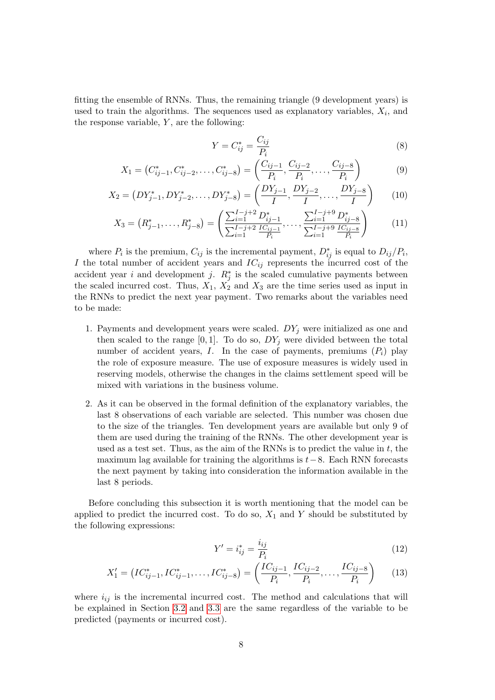fitting the ensemble of RNNs. Thus, the remaining triangle (9 development years) is used to train the algorithms. The sequences used as explanatory variables,  $X_i$ , and the response variable,  $Y$ , are the following:

$$
Y = C_{ij}^* = \frac{C_{ij}}{P_i} \tag{8}
$$

$$
X_1 = \left(C_{ij-1}^*, C_{ij-2}^*, \dots, C_{ij-8}^*\right) = \left(\frac{C_{ij-1}}{P_i}, \frac{C_{ij-2}}{P_i}, \dots, \frac{C_{ij-8}}{P_i}\right) \tag{9}
$$

$$
X_2 = \left(DY_{j-1}^*, DY_{j-2}^*, \dots, DY_{j-8}^*\right) = \left(\frac{DY_{j-1}}{I}, \frac{DY_{j-2}}{I}, \dots, \frac{DY_{j-8}}{I}\right) \tag{10}
$$

$$
X_3 = \left(R_{j-1}^*, \ldots, R_{j-8}^*\right) = \left(\frac{\sum_{i=1}^{I-j+2} D_{ij-1}^*}{\sum_{i=1}^{I-j+2} \frac{IC_{ij-1}}{P_i}}, \ldots, \frac{\sum_{i=1}^{I-j+9} D_{ij-8}^*}{\sum_{i=1}^{I-j+9} \frac{IC_{ij-8}}{P_i}}\right)
$$
(11)

where  $P_i$  is the premium,  $C_{ij}$  is the incremental payment,  $D_{ij}^*$  is equal to  $D_{ij}/P_i$ , I the total number of accident years and  $IC_{ij}$  represents the incurred cost of the accident year i and development j.  $R_j^*$  is the scaled cumulative payments between the scaled incurred cost. Thus,  $X_1$ ,  $X_2$  and  $X_3$  are the time series used as input in the RNNs to predict the next year payment. Two remarks about the variables need to be made:

- 1. Payments and development years were scaled.  $DY_j$  were initialized as one and then scaled to the range  $[0, 1]$ . To do so,  $DY_j$  were divided between the total number of accident years, I. In the case of payments, premiums  $(P_i)$  play the role of exposure measure. The use of exposure measures is widely used in reserving models, otherwise the changes in the claims settlement speed will be mixed with variations in the business volume.
- 2. As it can be observed in the formal definition of the explanatory variables, the last 8 observations of each variable are selected. This number was chosen due to the size of the triangles. Ten development years are available but only 9 of them are used during the training of the RNNs. The other development year is used as a test set. Thus, as the aim of the RNNs is to predict the value in  $t$ , the maximum lag available for training the algorithms is  $t-8$ . Each RNN forecasts the next payment by taking into consideration the information available in the last 8 periods.

Before concluding this subsection it is worth mentioning that the model can be applied to predict the incurred cost. To do so,  $X_1$  and Y should be substituted by the following expressions:

$$
Y' = i_{ij}^* = \frac{i_{ij}}{P_i} \tag{12}
$$

$$
X'_{1} = \left( IC_{ij-1}^{*}, IC_{ij-1}^{*}, \dots, IC_{ij-8}^{*} \right) = \left( \frac{IC_{ij-1}}{P_i}, \frac{IC_{ij-2}}{P_i}, \dots, \frac{IC_{ij-8}}{P_i} \right) \tag{13}
$$

where  $i_{ij}$  is the incremental incurred cost. The method and calculations that will be explained in Section [3.2](#page-8-0) and [3.3](#page-10-0) are the same regardless of the variable to be predicted (payments or incurred cost).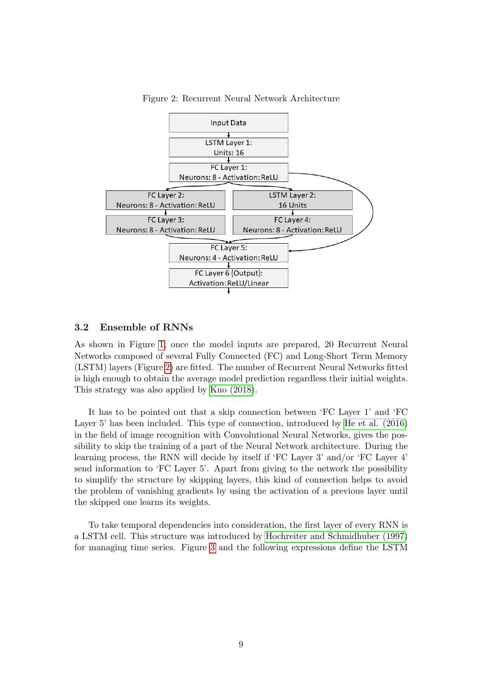<span id="page-8-1"></span>

Figure 2: Recurrent Neural Network Architecture

#### <span id="page-8-0"></span>3.2 Ensemble of RNNs

As shown in Figure [1,](#page-6-0) once the model inputs are prepared, 20 Recurrent Neural Networks composed of several Fully Connected (FC) and Long-Short Term Memory (LSTM) layers (Figure [2\)](#page-8-1) are fitted. The number of Recurrent Neural Networks fitted is high enough to obtain the average model prediction regardless their initial weights. This strategy was also applied by [Kuo \(2018\)](#page-22-14).

It has to be pointed out that a skip connection between 'FC Layer 1' and 'FC Layer 5' has been included. This type of connection, introduced by [He et al. \(2016\)](#page-21-14) in the field of image recognition with Convolutional Neural Networks, gives the possibility to skip the training of a part of the Neural Network architecture. During the learning process, the RNN will decide by itself if 'FC Layer 3' and/or 'FC Layer 4' send information to 'FC Layer 5'. Apart from giving to the network the possibility to simplify the structure by skipping layers, this kind of connection helps to avoid the problem of vanishing gradients by using the activation of a previous layer until the skipped one learns its weights.

To take temporal dependencies into consideration, the first layer of every RNN is a LSTM cell. This structure was introduced by [Hochreiter and Schmidhuber \(1997\)](#page-21-15) for managing time series. Figure [3](#page-9-0) and the following expressions define the LSTM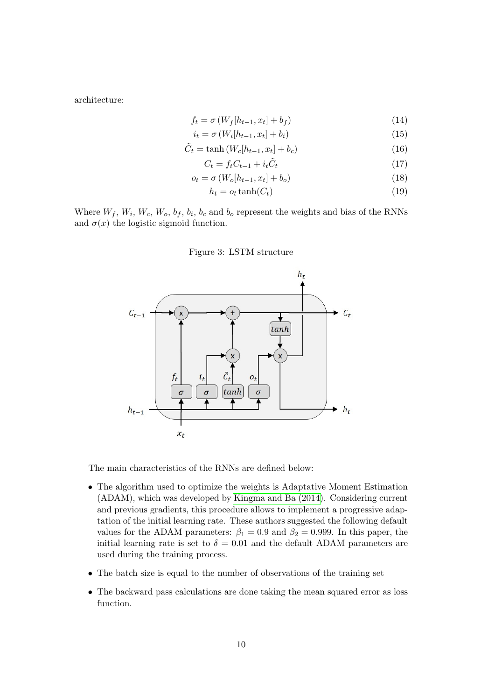architecture:

$$
f_t = \sigma \left( W_f[h_{t-1}, x_t] + b_f \right) \tag{14}
$$

$$
i_t = \sigma\left(W_i[h_{t-1}, x_t] + b_i\right) \tag{15}
$$

$$
\tilde{C}_t = \tanh\left(W_c[h_{t-1}, x_t] + b_c\right) \tag{16}
$$

$$
C_t = f_t C_{t-1} + i_t \tilde{C}_t \tag{17}
$$

$$
o_t = \sigma\left(W_o[h_{t-1}, x_t] + b_o\right) \tag{18}
$$

$$
h_t = o_t \tanh(C_t) \tag{19}
$$

<span id="page-9-0"></span>Where  $W_f$ ,  $W_i$ ,  $W_c$ ,  $W_o$ ,  $b_f$ ,  $b_i$ ,  $b_c$  and  $b_o$  represent the weights and bias of the RNNs and  $\sigma(x)$  the logistic sigmoid function.

#### Figure 3: LSTM structure



The main characteristics of the RNNs are defined below:

- The algorithm used to optimize the weights is Adaptative Moment Estimation (ADAM), which was developed by [Kingma and Ba \(2014\)](#page-22-18). Considering current and previous gradients, this procedure allows to implement a progressive adaptation of the initial learning rate. These authors suggested the following default values for the ADAM parameters:  $\beta_1 = 0.9$  and  $\beta_2 = 0.999$ . In this paper, the initial learning rate is set to  $\delta = 0.01$  and the default ADAM parameters are used during the training process.
- The batch size is equal to the number of observations of the training set
- The backward pass calculations are done taking the mean squared error as loss function.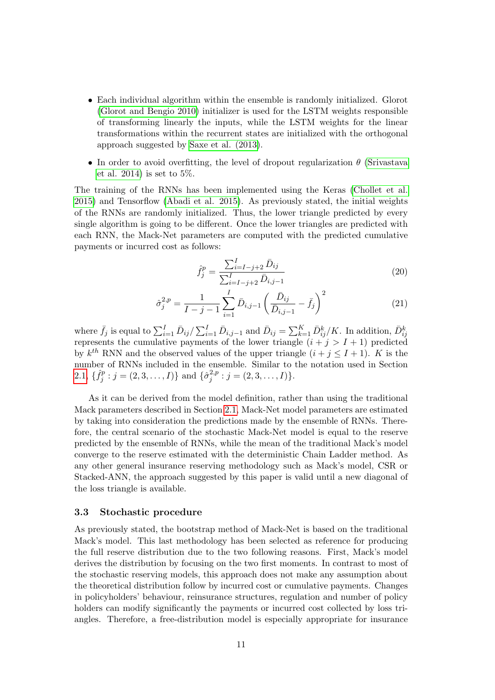- Each individual algorithm within the ensemble is randomly initialized. Glorot [\(Glorot and Bengio 2010\)](#page-21-16) initializer is used for the LSTM weights responsible of transforming linearly the inputs, while the LSTM weights for the linear transformations within the recurrent states are initialized with the orthogonal approach suggested by [Saxe et al. \(2013\)](#page-23-8).
- In order to avoid overfitting, the level of dropout regularization  $\theta$  [\(Srivastava](#page-23-9) [et al. 2014\)](#page-23-9) is set to  $5\%$ .

The training of the RNNs has been implemented using the Keras [\(Chollet et al.](#page-21-17) [2015\)](#page-21-17) and Tensorflow [\(Abadi et al. 2015\)](#page-20-6). As previously stated, the initial weights of the RNNs are randomly initialized. Thus, the lower triangle predicted by every single algorithm is going to be different. Once the lower triangles are predicted with each RNN, the Mack-Net parameters are computed with the predicted cumulative payments or incurred cost as follows:

$$
\hat{f}_j^p = \frac{\sum_{i=I-j+2}^I \bar{D}_{ij}}{\sum_{i=I-j+2}^I \bar{D}_{i,j-1}}\tag{20}
$$

$$
\hat{\sigma}_j^{2,p} = \frac{1}{I - j - 1} \sum_{i=1}^I \bar{D}_{i,j-1} \left( \frac{\bar{D}_{ij}}{\bar{D}_{i,j-1}} - \bar{f}_j \right)^2 \tag{21}
$$

where  $\bar{f}_j$  is equal to  $\sum_{i=1}^I \bar{D}_{ij}/\sum_{i=1}^I \bar{D}_{i,j-1}$  and  $\bar{D}_{ij} = \sum_{k=1}^K \bar{D}_{ij}^k/K$ . In addition,  $\bar{D}_{ij}^k$ represents the cumulative payments of the lower triangle  $(i + j > I + 1)$  predicted by  $k^{th}$  RNN and the observed values of the upper triangle  $(i + j \leq I + 1)$ . K is the number of RNNs included in the ensemble. Similar to the notation used in Section [2.1,](#page-3-1)  $\{\hat{f}_i^p\}$  $\{\hat{\sigma}_j^p : j = (2, 3, \dots, I)\}\$ and  $\{\hat{\sigma}_j^{2,p}\}$  $j_j^{2,p}: j=(2,3,\ldots,I)\}.$ 

As it can be derived from the model definition, rather than using the traditional Mack parameters described in Section [2.1,](#page-3-1) Mack-Net model parameters are estimated by taking into consideration the predictions made by the ensemble of RNNs. Therefore, the central scenario of the stochastic Mack-Net model is equal to the reserve predicted by the ensemble of RNNs, while the mean of the traditional Mack's model converge to the reserve estimated with the deterministic Chain Ladder method. As any other general insurance reserving methodology such as Mack's model, CSR or Stacked-ANN, the approach suggested by this paper is valid until a new diagonal of the loss triangle is available.

#### <span id="page-10-0"></span>3.3 Stochastic procedure

As previously stated, the bootstrap method of Mack-Net is based on the traditional Mack's model. This last methodology has been selected as reference for producing the full reserve distribution due to the two following reasons. First, Mack's model derives the distribution by focusing on the two first moments. In contrast to most of the stochastic reserving models, this approach does not make any assumption about the theoretical distribution follow by incurred cost or cumulative payments. Changes in policyholders' behaviour, reinsurance structures, regulation and number of policy holders can modify significantly the payments or incurred cost collected by loss triangles. Therefore, a free-distribution model is especially appropriate for insurance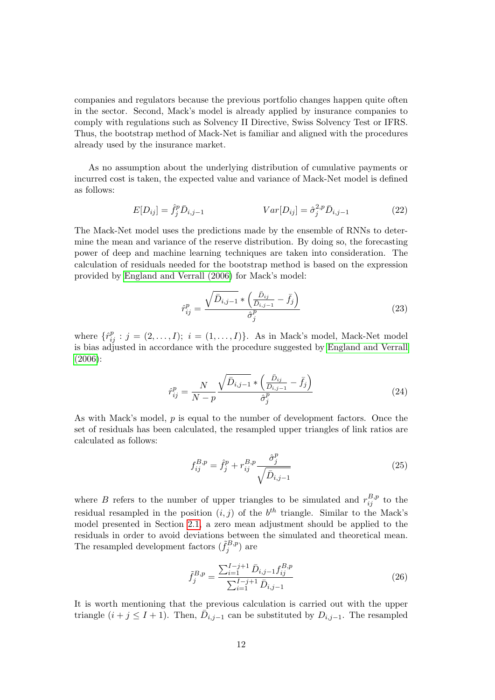companies and regulators because the previous portfolio changes happen quite often in the sector. Second, Mack's model is already applied by insurance companies to comply with regulations such as Solvency II Directive, Swiss Solvency Test or IFRS. Thus, the bootstrap method of Mack-Net is familiar and aligned with the procedures already used by the insurance market.

As no assumption about the underlying distribution of cumulative payments or incurred cost is taken, the expected value and variance of Mack-Net model is defined as follows:

$$
E[D_{ij}] = \hat{f}_j^p \bar{D}_{i,j-1} \qquad Var[D_{ij}] = \hat{\sigma}_j^{2,p} \bar{D}_{i,j-1} \qquad (22)
$$

The Mack-Net model uses the predictions made by the ensemble of RNNs to determine the mean and variance of the reserve distribution. By doing so, the forecasting power of deep and machine learning techniques are taken into consideration. The calculation of residuals needed for the bootstrap method is based on the expression provided by [England and Verrall \(2006\)](#page-21-0) for Mack's model:

$$
\hat{r}_{ij}^p = \frac{\sqrt{\bar{D}_{i,j-1}} \ast \left(\frac{\bar{D}_{ij}}{\bar{D}_{i,j-1}} - \bar{f}_j\right)}{\hat{\sigma}_j^p} \tag{23}
$$

where  $\{\hat{r}_{ij}^p : j = (2, \ldots, I); i = (1, \ldots, I)\}\$ . As in Mack's model, Mack-Net model is bias adjusted in accordance with the procedure suggested by [England and Verrall](#page-21-0) [\(2006\)](#page-21-0):

$$
\hat{r}_{ij}^p = \frac{N}{N-p} \frac{\sqrt{\bar{D}_{i,j-1}} * \left(\frac{\bar{D}_{ij}}{\bar{D}_{i,j-1}} - \bar{f}_j\right)}{\hat{\sigma}_j^p} \tag{24}
$$

As with Mack's model, p is equal to the number of development factors. Once the set of residuals has been calculated, the resampled upper triangles of link ratios are calculated as follows:

$$
f_{ij}^{B,p} = \hat{f}_j^p + r_{ij}^{B,p} \frac{\hat{\sigma}_j^p}{\sqrt{\bar{D}_{i,j-1}}} \tag{25}
$$

where B refers to the number of upper triangles to be simulated and  $r_{ij}^{B,p}$  to the residual resampled in the position  $(i, j)$  of the  $b<sup>th</sup>$  triangle. Similar to the Mack's model presented in Section [2.1,](#page-3-1) a zero mean adjustment should be applied to the residuals in order to avoid deviations between the simulated and theoretical mean. The resampled development factors  $(\tilde{f}_i^{B,p})$  $j^{(B,p)}$  are

$$
\tilde{f}_{j}^{B,p} = \frac{\sum_{i=1}^{I-j+1} \bar{D}_{i,j-1} f_{ij}^{B,p}}{\sum_{i=1}^{I-j+1} \bar{D}_{i,j-1}}
$$
\n(26)

It is worth mentioning that the previous calculation is carried out with the upper triangle  $(i + j \leq I + 1)$ . Then,  $\bar{D}_{i,j-1}$  can be substituted by  $D_{i,j-1}$ . The resampled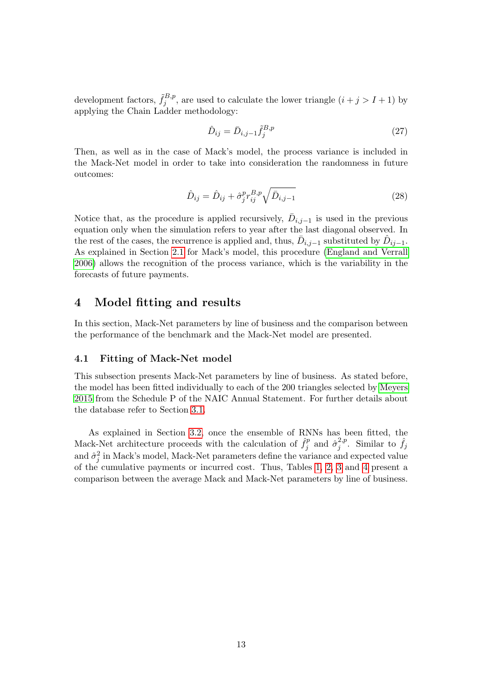development factors,  $\tilde{f}_i^{B,p}$  $j^{B,p}$ , are used to calculate the lower triangle  $(i+j > I+1)$  by applying the Chain Ladder methodology:

$$
\hat{D}_{ij} = \bar{D}_{i,j-1} \tilde{f}_j^{B,p} \tag{27}
$$

Then, as well as in the case of Mack's model, the process variance is included in the Mack-Net model in order to take into consideration the randomness in future outcomes:

$$
\hat{D}_{ij} = \hat{D}_{ij} + \hat{\sigma}_j^p r_{ij}^{B,p} \sqrt{\bar{D}_{i,j-1}}
$$
\n(28)

Notice that, as the procedure is applied recursively,  $\bar{D}_{i,j-1}$  is used in the previous equation only when the simulation refers to year after the last diagonal observed. In the rest of the cases, the recurrence is applied and, thus,  $\bar{D}_{i,j-1}$  substituted by  $\hat{D}_{ij-1}$ . As explained in Section [2.1](#page-3-1) for Mack's model, this procedure [\(England and Verrall](#page-21-0) [2006\)](#page-21-0) allows the recognition of the process variance, which is the variability in the forecasts of future payments.

### <span id="page-12-0"></span>4 Model fitting and results

In this section, Mack-Net parameters by line of business and the comparison between the performance of the benchmark and the Mack-Net model are presented.

#### <span id="page-12-1"></span>4.1 Fitting of Mack-Net model

This subsection presents Mack-Net parameters by line of business. As stated before, the model has been fitted individually to each of the 200 triangles selected by [Meyers](#page-22-4) [2015](#page-22-4) from the Schedule P of the NAIC Annual Statement. For further details about the database refer to Section [3.1.](#page-5-1)

As explained in Section [3.2,](#page-8-0) once the ensemble of RNNs has been fitted, the Mack-Net architecture proceeds with the calculation of  $\hat{f}_i^p$  $\hat{\sigma}_j^{p}$  and  $\hat{\sigma}_j^{2,p}$  $i_j^{2,p}$ . Similar to  $\hat{f}_j$ and  $\hat{\sigma}_j^2$  in Mack's model, Mack-Net parameters define the variance and expected value of the cumulative payments or incurred cost. Thus, Tables [1,](#page-13-0) [2,](#page-13-1) [3](#page-14-0) and [4](#page-14-1) present a comparison between the average Mack and Mack-Net parameters by line of business.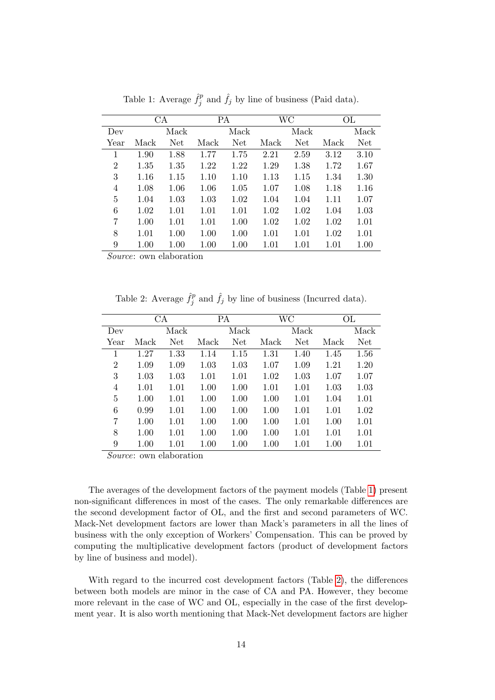<span id="page-13-0"></span>

|                | CA   |      | PA   |      |          | WC   |      | ОL         |
|----------------|------|------|------|------|----------|------|------|------------|
| Dev            |      | Mack |      | Mack |          | Mack |      | Mack       |
| Year           | Mack | Net  | Mack | Net  | Mack     | Net  | Mack | <b>Net</b> |
| 1              | 1.90 | 1.88 | 1.77 | 1.75 | 2.21     | 2.59 | 3.12 | 3.10       |
| $\overline{2}$ | 1.35 | 1.35 | 1.22 | 1.22 | 1.29     | 1.38 | 1.72 | 1.67       |
| 3              | 1.16 | 1.15 | 1.10 | 1.10 | 1.13     | 1.15 | 1.34 | 1.30       |
| 4              | 1.08 | 1.06 | 1.06 | 1.05 | 1.07     | 1.08 | 1.18 | 1.16       |
| 5              | 1.04 | 1.03 | 1.03 | 1.02 | 1.04     | 1.04 | 1.11 | 1.07       |
| 6              | 1.02 | 1.01 | 1.01 | 1.01 | 1.02     | 1.02 | 1.04 | 1.03       |
| 7              | 1.00 | 1.01 | 1.01 | 1.00 | 1.02     | 1.02 | 1.02 | 1.01       |
| 8              | 1.01 | 1.00 | 1.00 | 1.00 | 1.01     | 1.01 | 1.02 | 1.01       |
| 9              | 1.00 | 1.00 | 1.00 | 1.00 | $1.01\,$ | 1.01 | 1.01 | 1.00       |

Table 1: Average  $\hat{f}_i^p$  $\hat{f}_j^p$  and  $\hat{f}_j$  by line of business (Paid data).

Source: own elaboration

Table 2: Average  $\hat{f}_i^p$  $\hat{f}_j^p$  and  $\hat{f}_j$  by line of business (Incurred data).

<span id="page-13-1"></span>

|      |      | СA   | PA   |      | WС   |      | ОL   |            |
|------|------|------|------|------|------|------|------|------------|
| Dev  |      | Mack |      | Mack |      | Mack |      | Mack       |
| Year | Mack | Net  | Mack | Net  | Mack | Net  | Mack | <b>Net</b> |
| 1    | 1.27 | 1.33 | 1.14 | 1.15 | 1.31 | 1.40 | 1.45 | 1.56       |
| 2    | 1.09 | 1.09 | 1.03 | 1.03 | 1.07 | 1.09 | 1.21 | 1.20       |
| 3    | 1.03 | 1.03 | 1.01 | 1.01 | 1.02 | 1.03 | 1.07 | 1.07       |
| 4    | 1.01 | 1.01 | 1.00 | 1.00 | 1.01 | 1.01 | 1.03 | 1.03       |
| 5    | 1.00 | 1.01 | 1.00 | 1.00 | 1.00 | 1.01 | 1.04 | 1.01       |
| 6    | 0.99 | 1.01 | 1.00 | 1.00 | 1.00 | 1.01 | 1.01 | 1.02       |
| 7    | 1.00 | 1.01 | 1.00 | 1.00 | 1.00 | 1.01 | 1.00 | 1.01       |
| 8    | 1.00 | 1.01 | 1.00 | 1.00 | 1.00 | 1.01 | 1.01 | 1.01       |
| 9    | 1.00 | 1.01 | 1.00 | 1.00 | 1.00 | 1.01 | 1.00 | 1.01       |

Source: own elaboration

The averages of the development factors of the payment models (Table [1\)](#page-13-0) present non-significant differences in most of the cases. The only remarkable differences are the second development factor of OL, and the first and second parameters of WC. Mack-Net development factors are lower than Mack's parameters in all the lines of business with the only exception of Workers' Compensation. This can be proved by computing the multiplicative development factors (product of development factors by line of business and model).

With regard to the incurred cost development factors (Table [2\)](#page-13-1), the differences between both models are minor in the case of CA and PA. However, they become more relevant in the case of WC and OL, especially in the case of the first development year. It is also worth mentioning that Mack-Net development factors are higher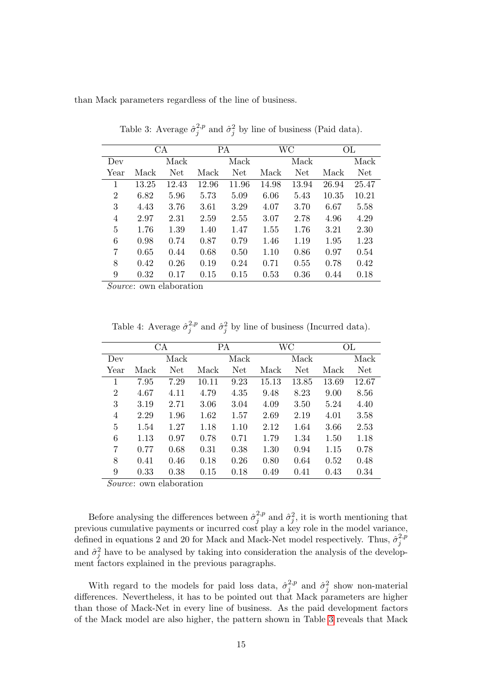<span id="page-14-0"></span>than Mack parameters regardless of the line of business.

| CA    |       | РA    |            | WС    |       | ОL    |       |
|-------|-------|-------|------------|-------|-------|-------|-------|
|       | Mack  |       | Mack       |       | Mack  |       | Mack  |
| Mack  | Net   | Mack  | <b>Net</b> | Mack  | Net   | Mack  | Net.  |
| 13.25 | 12.43 | 12.96 | 11.96      | 14.98 | 13.94 | 26.94 | 25.47 |
| 6.82  | 5.96  | 5.73  | 5.09       | 6.06  | 5.43  | 10.35 | 10.21 |
| 4.43  | 3.76  | 3.61  | 3.29       | 4.07  | 3.70  | 6.67  | 5.58  |
| 2.97  | 2.31  | 2.59  | 2.55       | 3.07  | 2.78  | 4.96  | 4.29  |
| 1.76  | 1.39  | 1.40  | 1.47       | 1.55  | 1.76  | 3.21  | 2.30  |
| 0.98  | 0.74  | 0.87  | 0.79       | 1.46  | 1.19  | 1.95  | 1.23  |
| 0.65  | 0.44  | 0.68  | 0.50       | 1.10  | 0.86  | 0.97  | 0.54  |
| 0.42  | 0.26  | 0.19  | 0.24       | 0.71  | 0.55  | 0.78  | 0.42  |
| 0.32  | 0.17  | 0.15  | 0.15       | 0.53  | 0.36  | 0.44  | 0.18  |
|       |       |       |            |       |       |       |       |

Table 3: Average  $\hat{\sigma}_i^{2,p}$  $j^{2,p}$  and  $\hat{\sigma}_j^2$  by line of business (Paid data).

Source: own elaboration

Table 4: Average  $\hat{\sigma}_i^{2,p}$  $j^{2,p}$  and  $\hat{\sigma}_j^2$  by line of business (Incurred data).

<span id="page-14-1"></span>

|                |      | CA   | PA    |      |       | WC    | ОL    |       |
|----------------|------|------|-------|------|-------|-------|-------|-------|
| Dev            |      | Mack |       | Mack |       | Mack  |       | Mack  |
| Year           | Mack | Net  | Mack  | Net  | Mack  | Net   | Mack  | Net   |
| 1              | 7.95 | 7.29 | 10.11 | 9.23 | 15.13 | 13.85 | 13.69 | 12.67 |
| $\overline{2}$ | 4.67 | 4.11 | 4.79  | 4.35 | 9.48  | 8.23  | 9.00  | 8.56  |
| 3              | 3.19 | 2.71 | 3.06  | 3.04 | 4.09  | 3.50  | 5.24  | 4.40  |
| 4              | 2.29 | 1.96 | 1.62  | 1.57 | 2.69  | 2.19  | 4.01  | 3.58  |
| 5              | 1.54 | 1.27 | 1.18  | 1.10 | 2.12  | 1.64  | 3.66  | 2.53  |
| 6              | 1.13 | 0.97 | 0.78  | 0.71 | 1.79  | 1.34  | 1.50  | 1.18  |
| 7              | 0.77 | 0.68 | 0.31  | 0.38 | 1.30  | 0.94  | 1.15  | 0.78  |
| 8              | 0.41 | 0.46 | 0.18  | 0.26 | 0.80  | 0.64  | 0.52  | 0.48  |
| 9              | 0.33 | 0.38 | 0.15  | 0.18 | 0.49  | 0.41  | 0.43  | 0.34  |

Source: own elaboration

Before analysing the differences between  $\hat{\sigma}_{i}^{2,p}$  $j^{2,p}$  and  $\hat{\sigma}_j^2$ , it is worth mentioning that previous cumulative payments or incurred cost play a key role in the model variance, defined in equations 2 and 20 for Mack and Mack-Net model respectively. Thus,  $\hat{\sigma}_i^{2,p}$ j and  $\hat{\sigma}_j^2$  have to be analysed by taking into consideration the analysis of the development factors explained in the previous paragraphs.

With regard to the models for paid loss data,  $\hat{\sigma}_i^{2,p}$  $j^{2,p}$  and  $\hat{\sigma}_j^2$  show non-material differences. Nevertheless, it has to be pointed out that Mack parameters are higher than those of Mack-Net in every line of business. As the paid development factors of the Mack model are also higher, the pattern shown in Table [3](#page-14-0) reveals that Mack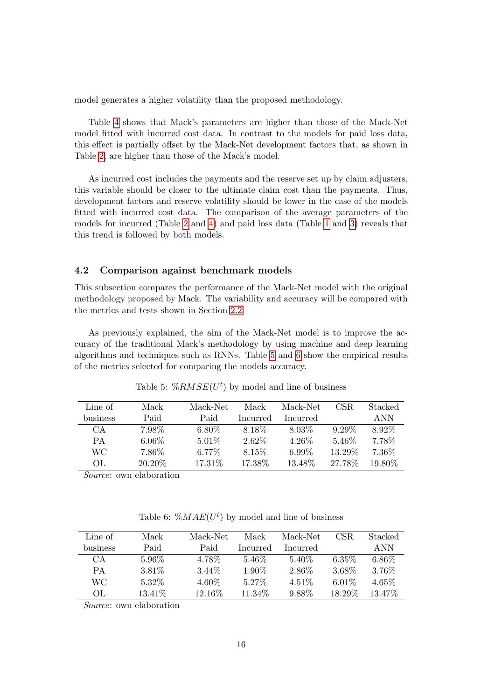model generates a higher volatility than the proposed methodology.

Table [4](#page-14-1) shows that Mack's parameters are higher than those of the Mack-Net model fitted with incurred cost data. In contrast to the models for paid loss data, this effect is partially offset by the Mack-Net development factors that, as shown in Table [2,](#page-13-1) are higher than those of the Mack's model.

As incurred cost includes the payments and the reserve set up by claim adjusters, this variable should be closer to the ultimate claim cost than the payments. Thus, development factors and reserve volatility should be lower in the case of the models fitted with incurred cost data. The comparison of the average parameters of the models for incurred (Table [2](#page-13-1) and [4\)](#page-14-1) and paid loss data (Table [1](#page-13-0) and [3\)](#page-14-0) reveals that this trend is followed by both models.

#### <span id="page-15-0"></span>4.2 Comparison against benchmark models

This subsection compares the performance of the Mack-Net model with the original methodology proposed by Mack. The variability and accuracy will be compared with the metrics and tests shown in Section [2.2.](#page-4-0)

As previously explained, the aim of the Mack-Net model is to improve the accuracy of the traditional Mack's methodology by using machine and deep learning algorithms and techniques such as RNNs. Table [5](#page-15-1) and [6](#page-15-2) show the empirical results of the metrics selected for comparing the models accuracy.

<span id="page-15-1"></span>

| Line of   | Mack     | Mack-Net | Mack     | Mack-Net | CSR.     | Stacked    |
|-----------|----------|----------|----------|----------|----------|------------|
| business  | Paid     | Paid     | Incurred | Incurred |          | <b>ANN</b> |
| CA        | 7.98\%   | $6.80\%$ | 8.18\%   | $8.03\%$ | $9.29\%$ | 8.92\%     |
| <b>PA</b> | $6.06\%$ | $5.01\%$ | 2.62%    | 4.26\%   | 5.46\%   | 7.78%      |
| WС        | 7.86\%   | 6.77%    | 8.15%    | $6.99\%$ | 13.29%   | 7.36%      |
| OL.       | 20.20\%  | 17.31%   | 17.38\%  | 13.48%   | 27.78\%  | 19.80\%    |
|           |          |          |          |          |          |            |

Table 5:  $\%RMSE(U^t)$  by model and line of business

Source: own elaboration

Table 6:  $\mathcal{K}MAE(U^t)$  by model and line of business

<span id="page-15-2"></span>

| Line of  | Mack    | Mack-Net | Mack      | Mack-Net | CSR.     | Stacked  |
|----------|---------|----------|-----------|----------|----------|----------|
| business | Paid    | Paid     | Incurred  | Incurred |          | A NN     |
| CА       | 5.96\%  | 4.78%    | 5.46\%    | 5.40\%   | $6.35\%$ | $6.86\%$ |
| PА       | 3.81\%  | 3.44\%   | 1.90%     | 2.86%    | 3.68%    | 3.76%    |
| WС       | 5.32%   | 4.60\%   | 5.27%     | $4.51\%$ | $6.01\%$ | $4.65\%$ |
| OL.      | 13.41\% | 12.16\%  | $11.34\%$ | 9.88%    | 18.29\%  | 13.47\%  |

Source: own elaboration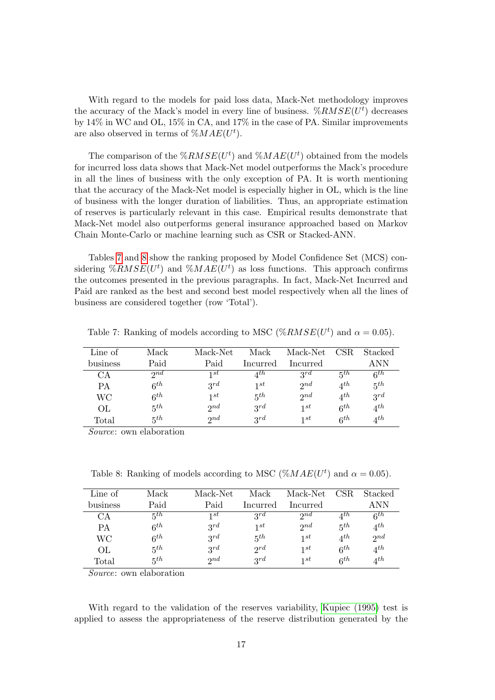With regard to the models for paid loss data, Mack-Net methodology improves the accuracy of the Mack's model in every line of business.  $\%RMSE(U^t)$  decreases by 14% in WC and OL, 15% in CA, and 17% in the case of PA. Similar improvements are also observed in terms of  $\%MAE(U^t)$ .

The comparison of the  $\mathcal{K}RMSE(U^t)$  and  $\mathcal{K}MAE(U^t)$  obtained from the models for incurred loss data shows that Mack-Net model outperforms the Mack's procedure in all the lines of business with the only exception of PA. It is worth mentioning that the accuracy of the Mack-Net model is especially higher in OL, which is the line of business with the longer duration of liabilities. Thus, an appropriate estimation of reserves is particularly relevant in this case. Empirical results demonstrate that Mack-Net model also outperforms general insurance approached based on Markov Chain Monte-Carlo or machine learning such as CSR or Stacked-ANN.

Tables [7](#page-16-0) and [8](#page-16-1) show the ranking proposed by Model Confidence Set (MCS) considering  $\%RMSE(U^t)$  and  $\%MAE(U^t)$  as loss functions. This approach confirms the outcomes presented in the previous paragraphs. In fact, Mack-Net Incurred and Paid are ranked as the best and second best model respectively when all the lines of business are considered together (row 'Total').

| Line of  | Mack     | Mack-Net | Mack     | Mack-Net | CSR.                   | Stacked          |
|----------|----------|----------|----------|----------|------------------------|------------------|
| business | Paid     | Paid     | Incurred | Incurred |                        | ANN              |
| CA       | 2nd      | 1st      | $4^{th}$ | $3^{rd}$ | 5th                    | 6 <sup>th</sup>  |
| PА       | $6^{th}$ | 2rd      | 1st      | 2nd      | $4^{th}$               | $5^{th}$         |
| WС       | $6^{th}$ | 1st      | 5th      | $2^{nd}$ | $4^{th}$               | $3^{rd}$         |
| OL       | $5^{th}$ | $2^{nd}$ | 2rd      | 1st      | $6^{th}$               | $4^{th}$         |
| Total    | $5^{th}$ | 2nd      | 2rd      | 1st      | $\kappa$ <sup>th</sup> | $\varDelta^{th}$ |

<span id="page-16-0"></span>Table 7: Ranking of models according to MSC ( $\%RMSE(U^t)$  and  $\alpha = 0.05$ ).

Source: own elaboration

<span id="page-16-1"></span>Table 8: Ranking of models according to MSC ( $\%MAE(U^t)$  and  $\alpha = 0.05$ ).

| Mack                   | Mack-Net    | Mack     | Mack-Net | CSR.           | Stacked  |
|------------------------|-------------|----------|----------|----------------|----------|
| Paid                   | Paid        | Incurred | Incurred |                | A NN     |
| $5^{th}$               | 1st         | 2rd      | $2^{nd}$ | $A$ th         | $6^{th}$ |
| 6 <sup>th</sup>        | $3^{rd}$    | 1st      | $2^{nd}$ | $5^{th}$       | $4^{th}$ |
| $\kappa$ <sup>th</sup> | $3^{rd}$    | $5^{th}$ | 1st      | $\Lambda^{th}$ | 2nd      |
| 5th                    | 2rd         | $2^{rd}$ | 1st      | $6^{th}$       | $4^{th}$ |
| 5th                    | $\gamma$ nd | $3^{rd}$ | 1st      | $6^{th}$       | $4^{th}$ |
|                        |             |          |          |                |          |

Source: own elaboration

With regard to the validation of the reserves variability, [Kupiec \(1995\)](#page-22-16) test is applied to assess the appropriateness of the reserve distribution generated by the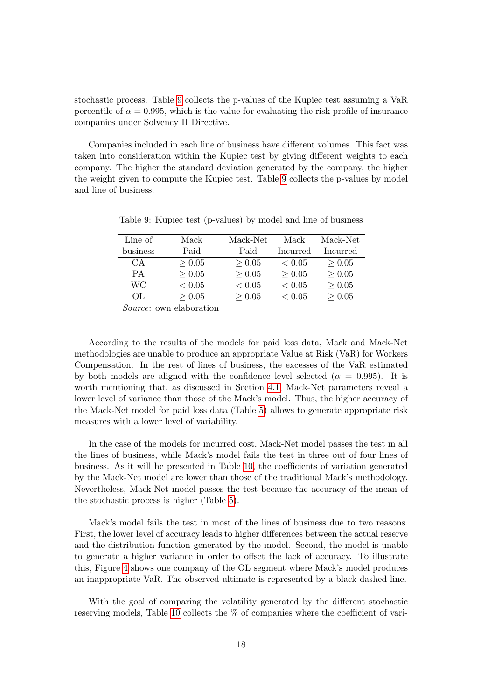stochastic process. Table [9](#page-17-0) collects the p-values of the Kupiec test assuming a VaR percentile of  $\alpha = 0.995$ , which is the value for evaluating the risk profile of insurance companies under Solvency II Directive.

Companies included in each line of business have different volumes. This fact was taken into consideration within the Kupiec test by giving different weights to each company. The higher the standard deviation generated by the company, the higher the weight given to compute the Kupiec test. Table [9](#page-17-0) collects the p-values by model and line of business.

| Line of  | Mack   | Mack-Net   | Mack       | Mack-Net |
|----------|--------|------------|------------|----------|
| business | Paid   | Paid       | Incurred   | Incurred |
| CA       | > 0.05 | > 0.05     | ${}< 0.05$ | > 0.05   |
| PА       | > 0.05 | > 0.05     | > 0.05     | > 0.05   |
| WС       | < 0.05 | ${}< 0.05$ | ${}< 0.05$ | > 0.05   |
| OL.      | > 0.05 | > 0.05     | < 0.05     | > 0.05   |

<span id="page-17-0"></span>Table 9: Kupiec test (p-values) by model and line of business

Source: own elaboration

According to the results of the models for paid loss data, Mack and Mack-Net methodologies are unable to produce an appropriate Value at Risk (VaR) for Workers Compensation. In the rest of lines of business, the excesses of the VaR estimated by both models are aligned with the confidence level selected ( $\alpha = 0.995$ ). It is worth mentioning that, as discussed in Section [4.1,](#page-12-1) Mack-Net parameters reveal a lower level of variance than those of the Mack's model. Thus, the higher accuracy of the Mack-Net model for paid loss data (Table [5\)](#page-15-1) allows to generate appropriate risk measures with a lower level of variability.

In the case of the models for incurred cost, Mack-Net model passes the test in all the lines of business, while Mack's model fails the test in three out of four lines of business. As it will be presented in Table [10,](#page-18-0) the coefficients of variation generated by the Mack-Net model are lower than those of the traditional Mack's methodology. Nevertheless, Mack-Net model passes the test because the accuracy of the mean of the stochastic process is higher (Table [5\)](#page-15-1).

Mack's model fails the test in most of the lines of business due to two reasons. First, the lower level of accuracy leads to higher differences between the actual reserve and the distribution function generated by the model. Second, the model is unable to generate a higher variance in order to offset the lack of accuracy. To illustrate this, Figure [4](#page-18-1) shows one company of the OL segment where Mack's model produces an inappropriate VaR. The observed ultimate is represented by a black dashed line.

With the goal of comparing the volatility generated by the different stochastic reserving models, Table [10](#page-18-0) collects the % of companies where the coefficient of vari-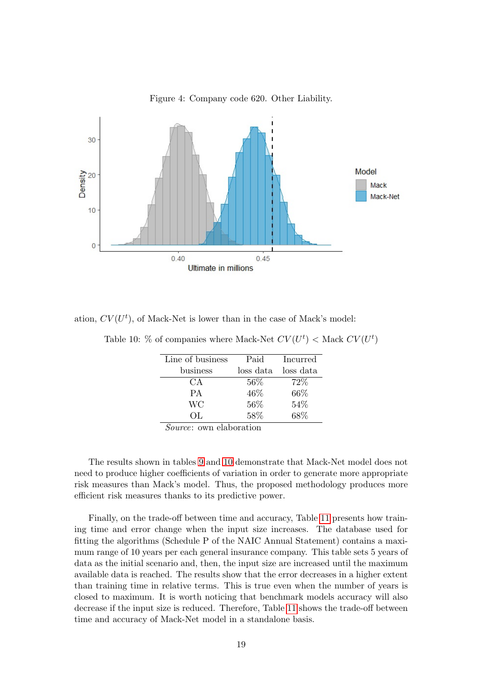<span id="page-18-1"></span>

Figure 4: Company code 620. Other Liability.

<span id="page-18-0"></span>ation,  $CV(U<sup>t</sup>)$ , of Mack-Net is lower than in the case of Mack's model:

|  |  | Table 10: % of companies where Mack-Net $CV(U^t)$ < Mack $CV(U^t)$ |  |  |  |  |
|--|--|--------------------------------------------------------------------|--|--|--|--|
|  |  |                                                                    |  |  |  |  |

| Paid      | Incurred  |
|-----------|-----------|
| loss data | loss data |
| $56\%$    | 72\%      |
| 46\%      | 66\%      |
| $56\%$    | 54\%      |
| 58%       | 68%       |
|           |           |

Source: own elaboration

The results shown in tables [9](#page-17-0) and [10](#page-18-0) demonstrate that Mack-Net model does not need to produce higher coefficients of variation in order to generate more appropriate risk measures than Mack's model. Thus, the proposed methodology produces more efficient risk measures thanks to its predictive power.

Finally, on the trade-off between time and accuracy, Table [11](#page-19-1) presents how training time and error change when the input size increases. The database used for fitting the algorithms (Schedule P of the NAIC Annual Statement) contains a maximum range of 10 years per each general insurance company. This table sets 5 years of data as the initial scenario and, then, the input size are increased until the maximum available data is reached. The results show that the error decreases in a higher extent than training time in relative terms. This is true even when the number of years is closed to maximum. It is worth noticing that benchmark models accuracy will also decrease if the input size is reduced. Therefore, Table [11](#page-19-1) shows the trade-off between time and accuracy of Mack-Net model in a standalone basis.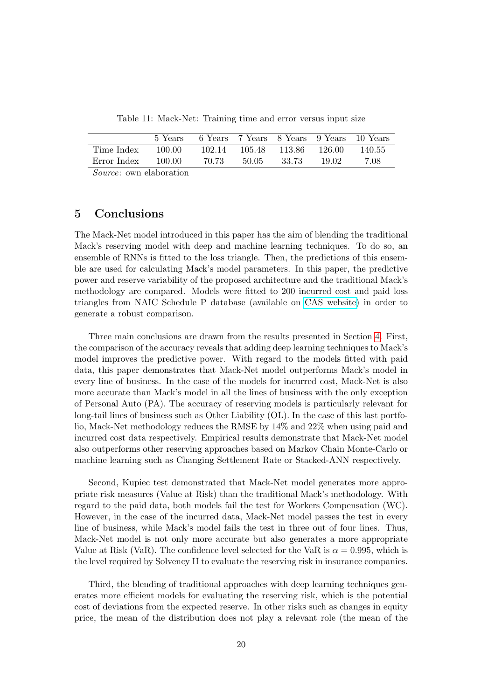Table 11: Mack-Net: Training time and error versus input size

<span id="page-19-1"></span>

|                                   | 5 Years |        |         |                      |         | 6 Years 7 Years 8 Years 9 Years 10 Years |
|-----------------------------------|---------|--------|---------|----------------------|---------|------------------------------------------|
| Time Index                        | 100.00  | 102.14 |         | 105.48 113.86 126.00 |         | - 140.55                                 |
| Error Index                       | 100.00  | 70.73  | -50.05- | 33.73                | - 19.02 | -7.08                                    |
| $\alpha$ and $\alpha$ in $\alpha$ |         |        |         |                      |         |                                          |

Source: own elaboration

# <span id="page-19-0"></span>5 Conclusions

The Mack-Net model introduced in this paper has the aim of blending the traditional Mack's reserving model with deep and machine learning techniques. To do so, an ensemble of RNNs is fitted to the loss triangle. Then, the predictions of this ensemble are used for calculating Mack's model parameters. In this paper, the predictive power and reserve variability of the proposed architecture and the traditional Mack's methodology are compared. Models were fitted to 200 incurred cost and paid loss triangles from NAIC Schedule P database (available on [CAS website\)](https://www.casact.org/research/index.cfm?fa=loss_reserves_data) in order to generate a robust comparison.

Three main conclusions are drawn from the results presented in Section [4.](#page-12-0) First, the comparison of the accuracy reveals that adding deep learning techniques to Mack's model improves the predictive power. With regard to the models fitted with paid data, this paper demonstrates that Mack-Net model outperforms Mack's model in every line of business. In the case of the models for incurred cost, Mack-Net is also more accurate than Mack's model in all the lines of business with the only exception of Personal Auto (PA). The accuracy of reserving models is particularly relevant for long-tail lines of business such as Other Liability (OL). In the case of this last portfolio, Mack-Net methodology reduces the RMSE by 14% and 22% when using paid and incurred cost data respectively. Empirical results demonstrate that Mack-Net model also outperforms other reserving approaches based on Markov Chain Monte-Carlo or machine learning such as Changing Settlement Rate or Stacked-ANN respectively.

Second, Kupiec test demonstrated that Mack-Net model generates more appropriate risk measures (Value at Risk) than the traditional Mack's methodology. With regard to the paid data, both models fail the test for Workers Compensation (WC). However, in the case of the incurred data, Mack-Net model passes the test in every line of business, while Mack's model fails the test in three out of four lines. Thus, Mack-Net model is not only more accurate but also generates a more appropriate Value at Risk (VaR). The confidence level selected for the VaR is  $\alpha = 0.995$ , which is the level required by Solvency II to evaluate the reserving risk in insurance companies.

Third, the blending of traditional approaches with deep learning techniques generates more efficient models for evaluating the reserving risk, which is the potential cost of deviations from the expected reserve. In other risks such as changes in equity price, the mean of the distribution does not play a relevant role (the mean of the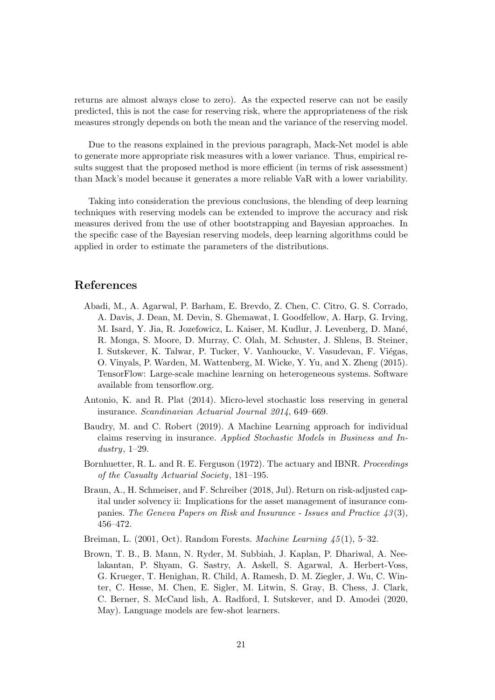returns are almost always close to zero). As the expected reserve can not be easily predicted, this is not the case for reserving risk, where the appropriateness of the risk measures strongly depends on both the mean and the variance of the reserving model.

Due to the reasons explained in the previous paragraph, Mack-Net model is able to generate more appropriate risk measures with a lower variance. Thus, empirical results suggest that the proposed method is more efficient (in terms of risk assessment) than Mack's model because it generates a more reliable VaR with a lower variability.

Taking into consideration the previous conclusions, the blending of deep learning techniques with reserving models can be extended to improve the accuracy and risk measures derived from the use of other bootstrapping and Bayesian approaches. In the specific case of the Bayesian reserving models, deep learning algorithms could be applied in order to estimate the parameters of the distributions.

## References

- <span id="page-20-6"></span>Abadi, M., A. Agarwal, P. Barham, E. Brevdo, Z. Chen, C. Citro, G. S. Corrado, A. Davis, J. Dean, M. Devin, S. Ghemawat, I. Goodfellow, A. Harp, G. Irving, M. Isard, Y. Jia, R. Jozefowicz, L. Kaiser, M. Kudlur, J. Levenberg, D. Man´e, R. Monga, S. Moore, D. Murray, C. Olah, M. Schuster, J. Shlens, B. Steiner, I. Sutskever, K. Talwar, P. Tucker, V. Vanhoucke, V. Vasudevan, F. Viégas, O. Vinyals, P. Warden, M. Wattenberg, M. Wicke, Y. Yu, and X. Zheng (2015). TensorFlow: Large-scale machine learning on heterogeneous systems. Software available from tensorflow.org.
- <span id="page-20-2"></span>Antonio, K. and R. Plat (2014). Micro-level stochastic loss reserving in general insurance. Scandinavian Actuarial Journal 2014, 649–669.
- <span id="page-20-4"></span>Baudry, M. and C. Robert (2019). A Machine Learning approach for individual claims reserving in insurance. Applied Stochastic Models in Business and Industry,  $1-29$ .
- <span id="page-20-1"></span>Bornhuetter, R. L. and R. E. Ferguson (1972). The actuary and IBNR. Proceedings of the Casualty Actuarial Society, 181–195.
- <span id="page-20-0"></span>Braun, A., H. Schmeiser, and F. Schreiber (2018, Jul). Return on risk-adjusted capital under solvency ii: Implications for the asset management of insurance companies. The Geneva Papers on Risk and Insurance - Issues and Practice  $43(3)$ , 456–472.
- <span id="page-20-5"></span>Breiman, L. (2001, Oct). Random Forests. Machine Learning  $\langle 45(1), 5-32 \rangle$ .
- <span id="page-20-3"></span>Brown, T. B., B. Mann, N. Ryder, M. Subbiah, J. Kaplan, P. Dhariwal, A. Neelakantan, P. Shyam, G. Sastry, A. Askell, S. Agarwal, A. Herbert-Voss, G. Krueger, T. Henighan, R. Child, A. Ramesh, D. M. Ziegler, J. Wu, C. Winter, C. Hesse, M. Chen, E. Sigler, M. Litwin, S. Gray, B. Chess, J. Clark, C. Berner, S. McCand lish, A. Radford, I. Sutskever, and D. Amodei (2020, May). Language models are few-shot learners.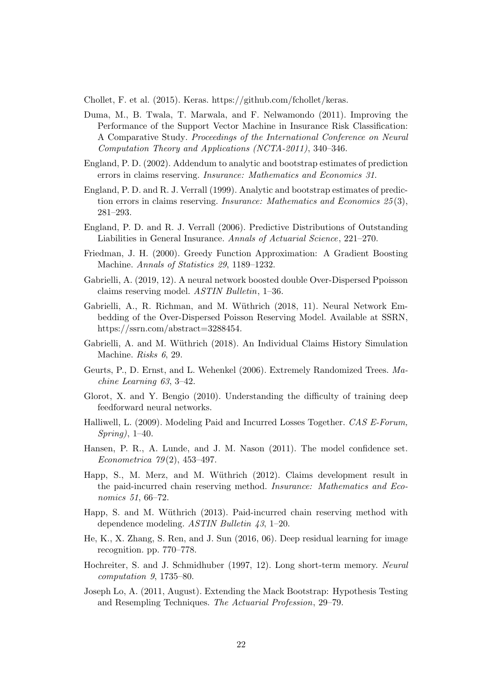<span id="page-21-17"></span>Chollet, F. et al. (2015). Keras. https://github.com/fchollet/keras.

- <span id="page-21-11"></span>Duma, M., B. Twala, T. Marwala, and F. Nelwamondo (2011). Improving the Performance of the Support Vector Machine in Insurance Risk Classification: A Comparative Study. Proceedings of the International Conference on Neural Computation Theory and Applications (NCTA-2011), 340–346.
- <span id="page-21-2"></span>England, P. D. (2002). Addendum to analytic and bootstrap estimates of prediction errors in claims reserving. Insurance: Mathematics and Economics 31.
- <span id="page-21-1"></span>England, P. D. and R. J. Verrall (1999). Analytic and bootstrap estimates of prediction errors in claims reserving. Insurance: Mathematics and Economics 25 (3), 281–293.
- <span id="page-21-0"></span>England, P. D. and R. J. Verrall (2006). Predictive Distributions of Outstanding Liabilities in General Insurance. Annals of Actuarial Science, 221–270.
- <span id="page-21-10"></span>Friedman, J. H. (2000). Greedy Function Approximation: A Gradient Boosting Machine. Annals of Statistics 29, 1189–1232.
- <span id="page-21-9"></span>Gabrielli, A. (2019, 12). A neural network boosted double Over-Dispersed Ppoisson claims reserving model. ASTIN Bulletin, 1–36.
- <span id="page-21-8"></span>Gabrielli, A., R. Richman, and M. Wüthrich (2018, 11). Neural Network Embedding of the Over-Dispersed Poisson Reserving Model. Available at SSRN, https://ssrn.com/abstract=3288454.
- <span id="page-21-6"></span>Gabrielli, A. and M. Wüthrich (2018). An Individual Claims History Simulation Machine. Risks 6, 29.
- <span id="page-21-7"></span>Geurts, P., D. Ernst, and L. Wehenkel (2006). Extremely Randomized Trees. Machine Learning 63, 3–42.
- <span id="page-21-16"></span>Glorot, X. and Y. Bengio (2010). Understanding the difficulty of training deep feedforward neural networks.
- <span id="page-21-5"></span>Halliwell, L. (2009). Modeling Paid and Incurred Losses Together. CAS E-Forum, Spring), 1–40.
- <span id="page-21-13"></span>Hansen, P. R., A. Lunde, and J. M. Nason (2011). The model confidence set. Econometrica  $79(2)$ , 453-497.
- <span id="page-21-3"></span>Happ, S., M. Merz, and M. Wüthrich (2012). Claims development result in the paid-incurred chain reserving method. Insurance: Mathematics and Economics 51, 66–72.
- <span id="page-21-4"></span>Happ, S. and M. Wüthrich (2013). Paid-incurred chain reserving method with dependence modeling. ASTIN Bulletin 43, 1–20.
- <span id="page-21-14"></span>He, K., X. Zhang, S. Ren, and J. Sun (2016, 06). Deep residual learning for image recognition. pp. 770–778.
- <span id="page-21-15"></span>Hochreiter, S. and J. Schmidhuber (1997, 12). Long short-term memory. Neural computation 9, 1735–80.
- <span id="page-21-12"></span>Joseph Lo, A. (2011, August). Extending the Mack Bootstrap: Hypothesis Testing and Resempling Techniques. The Actuarial Profession, 29–79.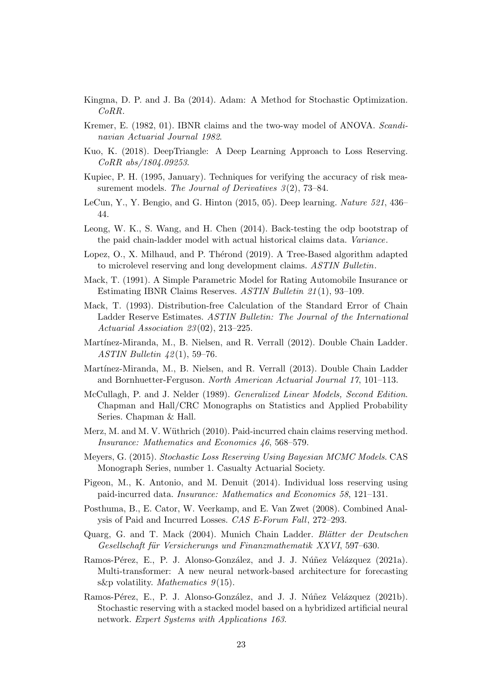- <span id="page-22-18"></span>Kingma, D. P. and J. Ba (2014). Adam: A Method for Stochastic Optimization. CoRR.
- <span id="page-22-2"></span>Kremer, E. (1982, 01). IBNR claims and the two-way model of ANOVA. Scandinavian Actuarial Journal 1982.
- <span id="page-22-14"></span>Kuo, K. (2018). DeepTriangle: A Deep Learning Approach to Loss Reserving. CoRR abs/1804.09253.
- <span id="page-22-16"></span>Kupiec, P. H. (1995, January). Techniques for verifying the accuracy of risk measurement models. The Journal of Derivatives  $3(2)$ , 73–84.
- <span id="page-22-11"></span>LeCun, Y., Y. Bengio, and G. Hinton (2015, 05). Deep learning. Nature 521, 436– 44.
- <span id="page-22-17"></span>Leong, W. K., S. Wang, and H. Chen (2014). Back-testing the odp bootstrap of the paid chain-ladder model with actual historical claims data. Variance.
- <span id="page-22-13"></span>Lopez, O., X. Milhaud, and P. Thérond (2019). A Tree-Based algorithm adapted to microlevel reserving and long development claims. ASTIN Bulletin.
- <span id="page-22-3"></span>Mack, T. (1991). A Simple Parametric Model for Rating Automobile Insurance or Estimating IBNR Claims Reserves. ASTIN Bulletin 21 (1), 93–109.
- <span id="page-22-0"></span>Mack, T. (1993). Distribution-free Calculation of the Standard Error of Chain Ladder Reserve Estimates. ASTIN Bulletin: The Journal of the International Actuarial Association 23(02), 213-225.
- <span id="page-22-6"></span>Martínez-Miranda, M., B. Nielsen, and R. Verrall (2012). Double Chain Ladder. ASTIN Bulletin  $42(1)$ , 59–76.
- <span id="page-22-10"></span>Martínez-Miranda, M., B. Nielsen, and R. Verrall (2013). Double Chain Ladder and Bornhuetter-Ferguson. North American Actuarial Journal 17, 101–113.
- <span id="page-22-1"></span>McCullagh, P. and J. Nelder (1989). Generalized Linear Models, Second Edition. Chapman and Hall/CRC Monographs on Statistics and Applied Probability Series. Chapman & Hall.
- <span id="page-22-8"></span>Merz, M. and M. V. Wüthrich (2010). Paid-incurred chain claims reserving method. Insurance: Mathematics and Economics 46, 568–579.
- <span id="page-22-4"></span>Meyers, G. (2015). Stochastic Loss Reserving Using Bayesian MCMC Models. CAS Monograph Series, number 1. Casualty Actuarial Society.
- <span id="page-22-9"></span>Pigeon, M., K. Antonio, and M. Denuit (2014). Individual loss reserving using paid-incurred data. Insurance: Mathematics and Economics 58, 121–131.
- <span id="page-22-7"></span>Posthuma, B., E. Cator, W. Veerkamp, and E. Van Zwet (2008). Combined Analysis of Paid and Incurred Losses. CAS E-Forum Fall, 272–293.
- <span id="page-22-5"></span>Quarg, G. and T. Mack (2004). Munich Chain Ladder. Blätter der Deutschen Gesellschaft für Versicherungs und Finanzmathematik XXVI, 597–630.
- <span id="page-22-12"></span>Ramos-Pérez, E., P. J. Alonso-González, and J. J. Núñez Velázquez (2021a). Multi-transformer: A new neural network-based architecture for forecasting s&p volatility. Mathematics  $9(15)$ .
- <span id="page-22-15"></span>Ramos-Pérez, E., P. J. Alonso-González, and J. J. Núñez Velázquez (2021b). Stochastic reserving with a stacked model based on a hybridized artificial neural network. Expert Systems with Applications 163.